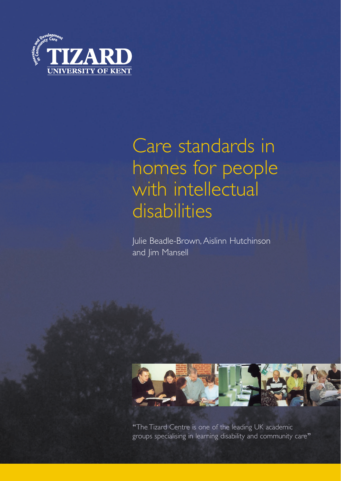

# Care standards in homes for people with intellectual disabilities

Julie Beadle-Brown, Aislinn Hutchinson and Jim Mansell



"The Tizard Centre is one of the leading UK academic groups specialising in learning disability and community care"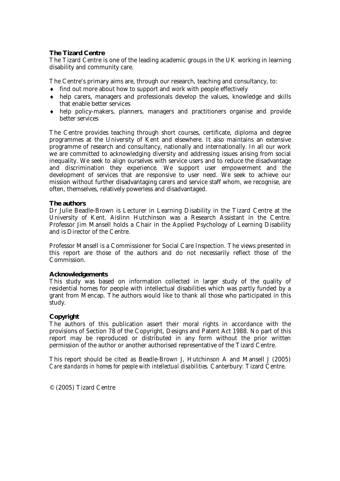#### *The Tizard Centre*

The Tizard Centre is one of the leading academic groups in the UK working in learning disability and community care.

The Centre's primary aims are, through our research, teaching and consultancy, to:

- ♦ find out more about how to support and work with people effectively
- ♦ help carers, managers and professionals develop the values, knowledge and skills that enable better services
- ♦ help policy-makers, planners, managers and practitioners organise and provide better services

The Centre provides teaching through short courses, certificate, diploma and degree programmes at the University of Kent and elsewhere. It also maintains an extensive programme of research and consultancy, nationally and internationally. In all our work we are committed to acknowledging diversity and addressing issues arising from social inequality. We seek to align ourselves with service users and to reduce the disadvantage and discrimination they experience. We support user empowerment and the development of services that are responsive to user need. We seek to achieve our mission without further disadvantaging carers and service staff whom, we recognise, are often, themselves, relatively powerless and disadvantaged.

#### *The authors*

Dr Julie Beadle-Brown is Lecturer in Learning Disability in the Tizard Centre at the University of Kent. Aislinn Hutchinson was a Research Assistant in the Centre. Professor Jim Mansell holds a Chair in the Applied Psychology of Learning Disability and is Director of the Centre.

Professor Mansell is a Commissioner for Social Care Inspection. The views presented in this report are those of the authors and do not necessarily reflect those of the Commission.

#### *Acknowledgements*

This study was based on information collected in larger study of the quality of residential homes for people with intellectual disabilities which was partly funded by a grant from Mencap. The authors would like to thank all those who participated in this study.

#### *Copyright*

The authors of this publication assert their moral rights in accordance with the provisions of Section 78 of the Copyright, Designs and Patent Act 1988. No part of this report may be reproduced or distributed in any form without the prior written permission of the author or another authorised representative of the Tizard Centre.

This report should be cited as Beadle-Brown J, Hutchinson A and Mansell J (2005) *Care standards in homes for people with intellectual disabilities.* Canterbury: Tizard Centre.

© (2005) Tizard Centre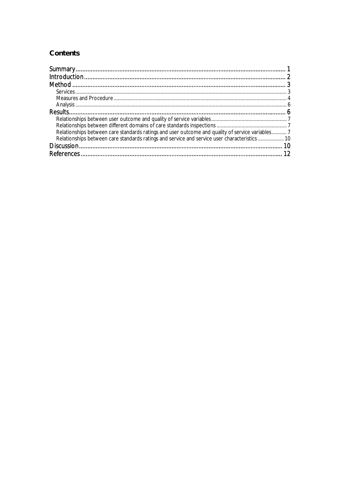# **Contents**

| Relationships between care standards ratings and user outcome and quality of service variables 7 |  |
|--------------------------------------------------------------------------------------------------|--|
| Relationships between care standards ratings and service and service user characteristics  10    |  |
|                                                                                                  |  |
|                                                                                                  |  |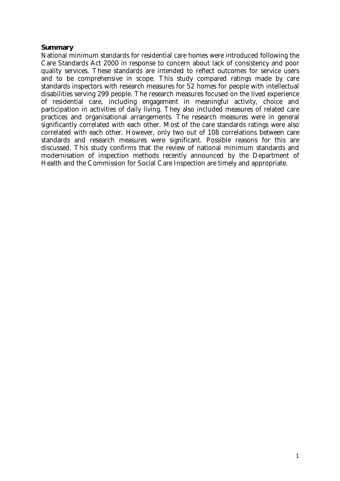# *Summary*

National minimum standards for residential care homes were introduced following the Care Standards Act 2000 in response to concern about lack of consistency and poor quality services. These standards are intended to reflect outcomes for service users and to be comprehensive in scope. This study compared ratings made by care standards inspectors with research measures for 52 homes for people with intellectual disabilities serving 299 people. The research measures focused on the lived experience of residential care, including engagement in meaningful activity, choice and participation in activities of daily living. They also included measures of related care practices and organisational arrangements. The research measures were in general significantly correlated with each other. Most of the care standards ratings were also correlated with each other. However, only two out of 108 correlations between care standards and research measures were significant. Possible reasons for this are discussed. This study confirms that the review of national minimum standards and modernisation of inspection methods recently announced by the Department of Health and the Commission for Social Care Inspection are timely and appropriate.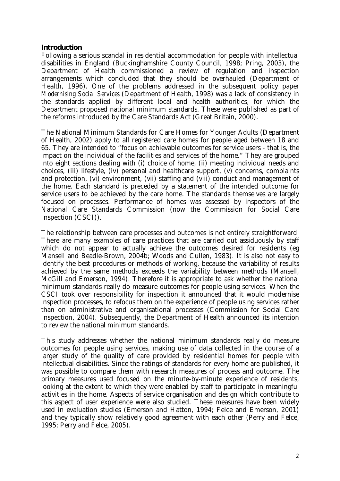#### *Introduction*

Following a serious scandal in residential accommodation for people with intellectual disabilities in England (Buckinghamshire County Council, 1998; Pring, 2003), the Department of Health commissioned a review of regulation and inspection arrangements which concluded that they should be overhauled (Department of Health, 1996). One of the problems addressed in the subsequent policy paper *Modernising Social Services* (Department of Health, 1998) was a lack of consistency in the standards applied by different local and health authorities, for which the Department proposed national minimum standards. These were published as part of the reforms introduced by the Care Standards Act (Great Britain, 2000).

The National Minimum Standards for Care Homes for Younger Adults (Department of Health, 2002) apply to all registered care homes for people aged between 18 and 65. They are intended to "focus on achievable outcomes for service users - that is, the impact on the individual of the facilities and services of the home." They are grouped into eight sections dealing with (i) choice of home, (ii) meeting individual needs and choices, (iii) lifestyle, (iv) personal and healthcare support, (v) concerns, complaints and protection, (vi) environment, (vii) staffing and (viii) conduct and management of the home. Each standard is preceded by a statement of the intended outcome for service users to be achieved by the care home. The standards themselves are largely focused on processes. Performance of homes was assessed by inspectors of the National Care Standards Commission (now the Commission for Social Care Inspection (CSCI)).

The relationship between care processes and outcomes is not entirely straightforward. There are many examples of care practices that are carried out assiduously by staff which do not appear to actually achieve the outcomes desired for residents (eg Mansell and Beadle-Brown, 2004b; Woods and Cullen, 1983). It is also not easy to identify the best procedures or methods of working, because the variability of results achieved by the same methods exceeds the variability between methods (Mansell, McGill and Emerson, 1994). Therefore it is appropriate to ask whether the national minimum standards really do measure outcomes for people using services. When the CSCI took over responsibility for inspection it announced that it would modernise inspection processes, to refocus them on the experience of people using services rather than on administrative and organisational processes (Commission for Social Care Inspection, 2004). Subsequently, the Department of Health announced its intention to review the national minimum standards.

This study addresses whether the national minimum standards really do measure outcomes for people using services, making use of data collected in the course of a larger study of the quality of care provided by residential homes for people with intellectual disabilities. Since the ratings of standards for every home are published, it was possible to compare them with research measures of process and outcome. The primary measures used focused on the minute-by-minute experience of residents, looking at the extent to which they were enabled by staff to participate in meaningful activities in the home. Aspects of service organisation and design which contribute to this aspect of user experience were also studied. These measures have been widely used in evaluation studies (Emerson and Hatton, 1994; Felce and Emerson, 2001) and they typically show relatively good agreement with each other (Perry and Felce, 1995; Perry and Felce, 2005).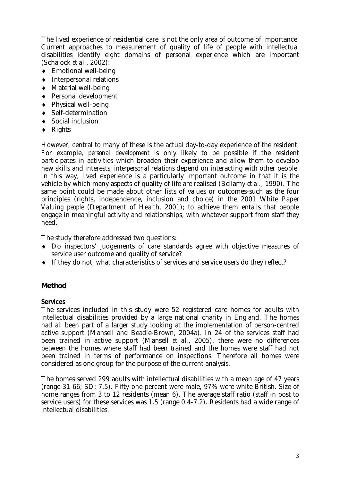The lived experience of residential care is not the only area of outcome of importance. Current approaches to measurement of quality of life of people with intellectual disabilities identify eight domains of personal experience which are important (Schalock *et al.*, 2002):

- ♦ Emotional well-being
- ♦ Interpersonal relations
- ♦ Material well-being
- ♦ Personal development
- ♦ Physical well-being
- ♦ Self-determination
- ♦ Social inclusion
- $\blacklozenge$  Rights

However, central to many of these is the actual day-to-day experience of the resident. For example, *personal development* is only likely to be possible if the resident participates in activities which broaden their experience and allow them to develop new skills and interests; *interpersonal relations* depend on interacting with other people. In this way, lived experience is a particularly important outcome in that it is the vehicle by which many aspects of quality of life are realised (Bellamy *et al.*, 1990). The same point could be made about other lists of values or outcomes-such as the four principles (rights, independence, inclusion and choice) in the 2001 White Paper *Valuing people* (Department of Health, 2001); to achieve them entails that people engage in meaningful activity and relationships, with whatever support from staff they need.

The study therefore addressed two questions:

- ♦ Do inspectors' judgements of care standards agree with objective measures of service user outcome and quality of service?
- ♦ If they do not, what characteristics of services and service users do they reflect?

# *Method*

# *Services*

The services included in this study were 52 registered care homes for adults with intellectual disabilities provided by a large national charity in England. The homes had all been part of a larger study looking at the implementation of person-centred active support (Mansell and Beadle-Brown, 2004a). In 24 of the services staff had been trained in active support (Mansell *et al.*, 2005), there were no differences between the homes where staff had been trained and the homes were staff had not been trained in terms of performance on inspections. Therefore all homes were considered as one group for the purpose of the current analysis.

The homes served 299 adults with intellectual disabilities with a mean age of 47 years (range 31-66; SD: 7.5). Fifty-one percent were male, 97% were white British. Size of home ranges from 3 to 12 residents (mean 6). The average staff ratio (staff in post to service users) for these services was 1.5 (range 0.4-7.2). Residents had a wide range of intellectual disabilities.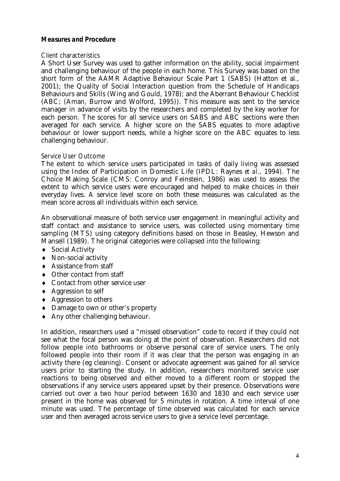# *Measures and Procedure*

#### Client characteristics

A Short User Survey was used to gather information on the ability, social impairment and challenging behaviour of the people in each home. This Survey was based on the short form of the AAMR Adaptive Behaviour Scale Part 1 (SABS) (Hatton et al., 2001); the Quality of Social Interaction question from the Schedule of Handicaps Behaviours and Skills (Wing and Gould, 1978); and the Aberrant Behaviour Checklist (ABC; (Aman, Burrow and Wolford, 1995)). This measure was sent to the service manager in advance of visits by the researchers and completed by the key worker for each person. The scores for all service users on SABS and ABC sections were then averaged for each service. A higher score on the SABS equates to more adaptive behaviour or lower support needs, while a higher score on the ABC equates to less challenging behaviour.

#### Service User Outcome

The extent to which service users participated in tasks of daily living was assessed using the Index of Participation in Domestic Life (IPDL: Raynes *et al.*, 1994). The Choice Making Scale (CMS: Conroy and Feinstein, 1986) was used to assess the extent to which service users were encouraged and helped to make choices in their everyday lives. A service level score on both these measures was calculated as the mean score across all individuals within each service.

An observational measure of both service user engagement in meaningful activity and staff contact and assistance to service users, was collected using momentary time sampling (MTS) using category definitions based on those in Beasley, Hewson and Mansell (1989). The original categories were collapsed into the following:

- ♦ Social Activity
- ♦ Non-social activity
- ♦ Assistance from staff
- ♦ Other contact from staff
- ♦ Contact from other service user
- ♦ Aggression to self
- ♦ Aggression to others
- ♦ Damage to own or other's property
- ♦ Any other challenging behaviour.

In addition, researchers used a "missed observation" code to record if they could not see what the focal person was doing at the point of observation. Researchers did not follow people into bathrooms or observe personal care of service users. The only followed people into their room if it was clear that the person was engaging in an activity there (eg cleaning). Consent or advocate agreement was gained for all service users prior to starting the study. In addition, researchers monitored service user reactions to being observed and either moved to a different room or stopped the observations if any service users appeared upset by their presence. Observations were carried out over a two hour period between 1630 and 1830 and each service user present in the home was observed for 5 minutes in rotation. A time interval of one minute was used. The percentage of time observed was calculated for each service user and then averaged across service users to give a service level percentage.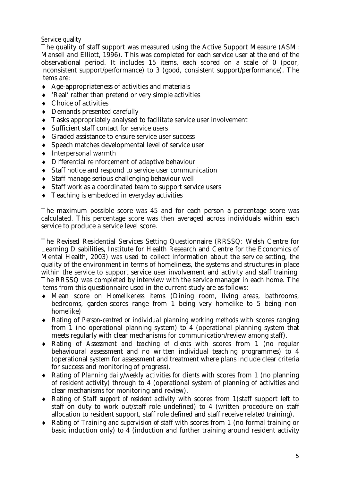# Service quality

The quality of staff support was measured using the Active Support Measure (ASM: Mansell and Elliott, 1996). This was completed for each service user at the end of the observational period. It includes 15 items, each scored on a scale of 0 (poor, inconsistent support/performance) to 3 (good, consistent support/performance). The items are:

- ♦ Age-appropriateness of activities and materials
- ♦ 'Real' rather than pretend or very simple activities
- ♦ Choice of activities
- ♦ Demands presented carefully
- ♦ Tasks appropriately analysed to facilitate service user involvement
- ♦ Sufficient staff contact for service users
- ♦ Graded assistance to ensure service user success
- ♦ Speech matches developmental level of service user
- ♦ Interpersonal warmth
- ♦ Differential reinforcement of adaptive behaviour
- ♦ Staff notice and respond to service user communication
- ♦ Staff manage serious challenging behaviour well
- ♦ Staff work as a coordinated team to support service users
- ♦ Teaching is embedded in everyday activities

The maximum possible score was 45 and for each person a percentage score was calculated. This percentage score was then averaged across individuals within each service to produce a service level score.

The Revised Residential Services Setting Questionnaire (RRSSQ: Welsh Centre for Learning Disabilities, Institute for Health Research and Centre for the Economics of Mental Health, 2003) was used to collect information about the service setting, the quality of the environment in terms of homeliness, the systems and structures in place within the service to support service user involvement and activity and staff training. The RRSSQ was completed by interview with the service manager in each home. The items from this questionnaire used in the current study are as follows:

- ♦ Mean score on *Homelikeness* items (Dining room, living areas, bathrooms, bedrooms, garden-scores range from 1 being very homelike to 5 being nonhomelike)
- ♦ Rating of *Person-centred or individual planning working methods* with scores ranging from 1 (no operational planning system) to 4 (operational planning system that meets regularly with clear mechanisms for communication/review among staff).
- ♦ Rating of *Assessment and teaching of clients* with scores from 1 (no regular behavioural assessment and no written individual teaching programmes) to 4 (operational system for assessment and treatment where plans include clear criteria for success and monitoring of progress).
- ♦ Rating of *Planning daily/weekly activities for clients* with scores from 1 (no planning of resident activity) through to 4 (operational system of planning of activities and clear mechanisms for monitoring and review).
- ♦ Rating of *Staff support of resident activity* with scores from 1(staff support left to staff on duty to work out/staff role undefined) to 4 (written procedure on staff allocation to resident support, staff role defined and staff receive related training).
- ♦ Rating of *Training and supervision of staff* with scores from 1 (no formal training or basic induction only) to 4 (induction and further training around resident activity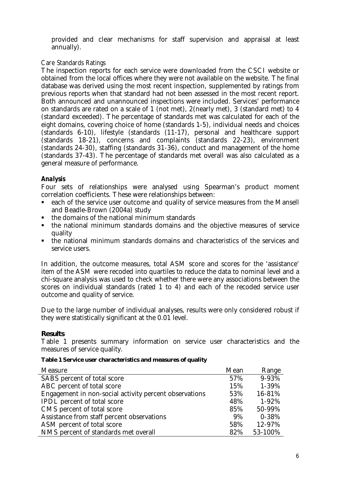provided and clear mechanisms for staff supervision and appraisal at least annually).

# Care Standards Ratings

The inspection reports for each service were downloaded from the CSCI website or obtained from the local offices where they were not available on the website. The final database was derived using the most recent inspection, supplemented by ratings from previous reports when that standard had not been assessed in the most recent report. Both announced and unannounced inspections were included. Services' performance on standards are rated on a scale of 1 (not met), 2(nearly met), 3 (standard met) to 4 (standard exceeded). The percentage of standards met was calculated for each of the eight domains, covering choice of home (standards 1-5), individual needs and choices (standards 6-10), lifestyle (standards (11-17), personal and healthcare support (standards 18-21), concerns and complaints (standards 22-23), environment (standards 24-30), staffing (standards 31-36), conduct and management of the home (standards 37-43). The percentage of standards met overall was also calculated as a general measure of performance.

# *Analysis*

Four sets of relationships were analysed using Spearman's product moment correlation coefficients. These were relationships between:

- each of the service user outcome and quality of service measures from the Mansell and Beadle-Brown (2004a) study
- $\blacksquare$  the domains of the national minimum standards
- the national minimum standards domains and the objective measures of service quality
- the national minimum standards domains and characteristics of the services and service users.

In addition, the outcome measures, total ASM score and scores for the 'assistance' item of the ASM were recoded into quartiles to reduce the data to nominal level and a chi-square analysis was used to check whether there were any associations between the scores on individual standards (rated 1 to 4) and each of the recoded service user outcome and quality of service.

Due to the large number of individual analyses, results were only considered robust if they were statistically significant at the 0.01 level.

# *Results*

Table 1 presents summary information on service user characteristics and the measures of service quality.

# *Table 1 Service user characteristics and measures of quality*

| Measure                                                | Mean | Range     |
|--------------------------------------------------------|------|-----------|
| SABS percent of total score                            | 57%  | 9-93%     |
| ABC percent of total score                             | 15%  | 1-39%     |
| Engagement in non-social activity percent observations | 53%  | 16-81%    |
| IPDL percent of total score                            | 48%  | 1-92%     |
| CMS percent of total score                             | 85%  | 50-99%    |
| Assistance from staff percent observations             | 9%   | $0 - 38%$ |
| ASM percent of total score                             | 58%  | 12-97%    |
| NMS percent of standards met overall                   | 82%  | 53-100%   |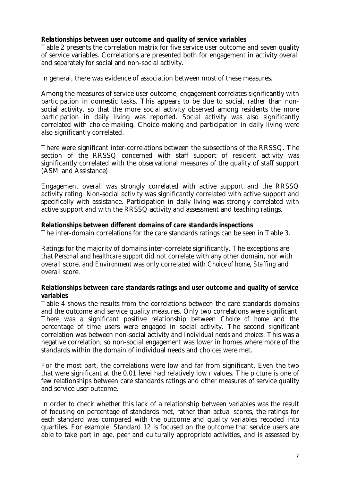# *Relationships between user outcome and quality of service variables*

Table 2 presents the correlation matrix for five service user outcome and seven quality of service variables. Correlations are presented both for engagement in activity overall and separately for social and non-social activity.

In general, there was evidence of association between most of these measures.

Among the measures of service user outcome, engagement correlates significantly with participation in domestic tasks. This appears to be due to social, rather than nonsocial activity, so that the more social activity observed among residents the more participation in daily living was reported. Social activity was also significantly correlated with choice-making. Choice-making and participation in daily living were also significantly correlated.

There were significant inter-correlations between the subsections of the RRSSQ. The section of the RRSSQ concerned with staff support of resident activity was significantly correlated with the observational measures of the quality of staff support (ASM and Assistance).

Engagement overall was strongly correlated with active support and the RRSSQ activity rating. Non-social activity was significantly correlated with active support and specifically with assistance. Participation in daily living was strongly correlated with active support and with the RRSSQ activity and assessment and teaching ratings.

# *Relationships between different domains of care standards inspections*

The inter-domain correlations for the care standards ratings can be seen in Table 3.

Ratings for the majority of domains inter-correlate significantly. The exceptions are that *Personal and healthcare support* did not correlate with any other domain, nor with overall score, and *Environment* was only correlated with *Choice of home*, *Staffing* and overall score.

# *Relationships between care standards ratings and user outcome and quality of service variables*

Table 4 shows the results from the correlations between the care standards domains and the outcome and service quality measures. Only two correlations were significant. There was a significant positive relationship between *Choice of home* and the percentage of time users were engaged in social activity. The second significant correlation was between non-social activity and *Individual needs and choices*. This was a negative correlation, so non-social engagement was lower in homes where more of the standards within the domain of individual needs and choices were met.

For the most part, the correlations were low and far from significant. Even the two that were significant at the 0.01 level had relatively low *r* values. The picture is one of few relationships between care standards ratings and other measures of service quality and service user outcome.

In order to check whether this lack of a relationship between variables was the result of focusing on percentage of standards met, rather than actual scores, the ratings for each standard was compared with the outcome and quality variables recoded into quartiles. For example, Standard 12 is focused on the outcome that service users are able to take part in age, peer and culturally appropriate activities, and is assessed by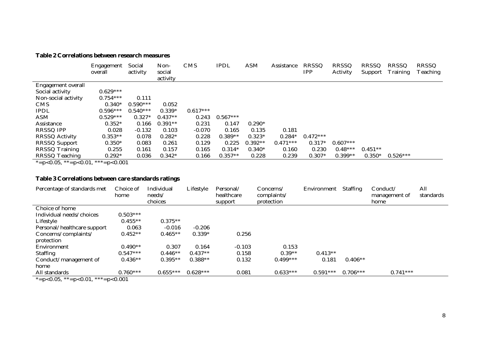#### *Table 2 Correlations between research measures*

|                     | Engagement<br>overall | Social<br>activity | Non-<br>social | <b>CMS</b> | <b>IPDL</b> | <b>ASM</b> | Assistance | <b>RRSSQ</b><br>IPP. | <b>RRSSQ</b><br>Activity | <b>RRSSQ</b><br>Support | <b>RRSSQ</b><br>Training | RRSSQ<br>Teaching |
|---------------------|-----------------------|--------------------|----------------|------------|-------------|------------|------------|----------------------|--------------------------|-------------------------|--------------------------|-------------------|
|                     |                       |                    | activity       |            |             |            |            |                      |                          |                         |                          |                   |
| Engagement overall  |                       |                    |                |            |             |            |            |                      |                          |                         |                          |                   |
| Social activity     | $0.629***$            |                    |                |            |             |            |            |                      |                          |                         |                          |                   |
| Non-social activity | $0.754***$            | 0.111              |                |            |             |            |            |                      |                          |                         |                          |                   |
| <b>CMS</b>          | $0.340*$              | $0.590***$         | 0.052          |            |             |            |            |                      |                          |                         |                          |                   |
| <b>IPDL</b>         | $0.596***$            | $0.540***$         | $0.339*$       | $0.617***$ |             |            |            |                      |                          |                         |                          |                   |
| ASM                 | $0.529***$            | $0.327*$           | $0.437**$      | 0.243      | $0.567***$  |            |            |                      |                          |                         |                          |                   |
| Assistance          | $0.352*$              | 0.166              | $0.391**$      | 0.231      | 0.147       | $0.290*$   |            |                      |                          |                         |                          |                   |
| RRSSQ IPP           | 0.028                 | $-0.132$           | 0.103          | $-0.070$   | 0.165       | 0.135      | 0.181      |                      |                          |                         |                          |                   |
| RRSSQ Activity      | $0.353**$             | 0.078              | $0.282*$       | 0.228      | $0.389**$   | $0.323*$   | $0.284*$   | $0.472***$           |                          |                         |                          |                   |
| RRSSQ Support       | $0.350*$              | 0.083              | 0.261          | 0.129      | 0.225       | $0.392**$  | $0.471***$ | $0.317*$             | $0.607***$               |                         |                          |                   |
| RRSSQ Training      | 0.255                 | 0.161              | 0.157          | 0.165      | $0.314*$    | $0.340*$   | 0.160      | 0.230                | $0.48***$                | $0.451**$               |                          |                   |
| RRSSQ Teaching      | $0.292*$              | 0.036              | $0.342*$       | 0.166      | $0.357**$   | 0.228      | 0.239      | $0.307*$             | $0.399**$                | $0.350*$                | $0.526***$               |                   |

\*=p<0.05, \*\*=p<0.01, \*\*\*=p<0.001

#### *Table 3 Correlations between care standards ratings*

| Percentage of standards met | Choice of<br>home | Individual<br>needs/<br>choices | Lifestyle  | Personal/<br>healthcare<br>support | Concerns/<br>complaints/<br>protection | Environment | <b>Staffing</b> | Conduct/<br>management of<br>home | All<br>standards |
|-----------------------------|-------------------|---------------------------------|------------|------------------------------------|----------------------------------------|-------------|-----------------|-----------------------------------|------------------|
| Choice of home              |                   |                                 |            |                                    |                                        |             |                 |                                   |                  |
| Individual needs/choices    | $0.503***$        |                                 |            |                                    |                                        |             |                 |                                   |                  |
| Lifestyle                   | $0.455**$         | $0.375**$                       |            |                                    |                                        |             |                 |                                   |                  |
| Personal/healthcare support | 0.063             | $-0.016$                        | $-0.206$   |                                    |                                        |             |                 |                                   |                  |
| Concerns/complaints/        | $0.452**$         | $0.465**$                       | $0.339*$   | 0.256                              |                                        |             |                 |                                   |                  |
| protection                  |                   |                                 |            |                                    |                                        |             |                 |                                   |                  |
| Environment                 | $0.490**$         | 0.307                           | 0.164      | $-0.103$                           | 0.153                                  |             |                 |                                   |                  |
| <b>Staffing</b>             | $0.547***$        | $0.446**$                       | $0.437**$  | 0.158                              | $0.39**$                               | $0.413**$   |                 |                                   |                  |
| Conduct/management of       | $0.436**$         | $0.395**$                       | $0.388**$  | 0.132                              | $0.499***$                             | 0.181       | $0.406**$       |                                   |                  |
| home                        |                   |                                 |            |                                    |                                        |             |                 |                                   |                  |
| All standards               | $0.760***$        | $0.655***$                      | $0.628***$ | 0.081                              | $0.633***$                             | $0.591***$  | $0.706***$      | $0.741***$                        |                  |

\*=p<0.05, \*\*=p<0.01, \*\*\*=p<0.001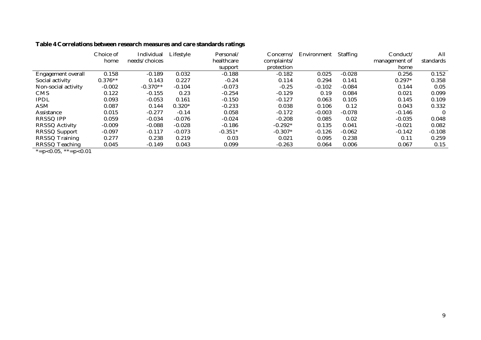|  |  |  |  |  |  |  | Table 4 Correlations between research measures and care standards ratings |
|--|--|--|--|--|--|--|---------------------------------------------------------------------------|
|--|--|--|--|--|--|--|---------------------------------------------------------------------------|

|           | Individual    | Lifestyle | Personal/ | Concerns/   | Environment | <b>Staffing</b> | Conduct/      | All       |
|-----------|---------------|-----------|-----------|-------------|-------------|-----------------|---------------|-----------|
| home      | needs/choices |           |           | complaints/ |             |                 | management of | standards |
|           |               |           | support   | protection  |             |                 | home          |           |
| 0.158     | $-0.189$      | 0.032     | $-0.188$  | $-0.182$    | 0.025       | $-0.028$        | 0.256         | 0.152     |
| $0.376**$ | 0.143         | 0.227     | $-0.24$   | 0.114       | 0.294       | 0.141           | $0.297*$      | 0.358     |
| $-0.002$  | $-0.370**$    | $-0.104$  | $-0.073$  | $-0.25$     | $-0.102$    | $-0.084$        | 0.144         | 0.05      |
| 0.122     | $-0.155$      | 0.23      | $-0.254$  | $-0.129$    | 0.19        | 0.084           | 0.021         | 0.099     |
| 0.093     | $-0.053$      | 0.161     | $-0.150$  | $-0.127$    | 0.063       | 0.105           | 0.145         | 0.109     |
| 0.087     | 0.144         | $0.320*$  | $-0.233$  | 0.038       | 0.106       | 0.12            | 0.043         | 0.332     |
| 0.015     | $-0.277$      | $-0.14$   | 0.058     | $-0.172$    | $-0.003$    | $-0.078$        | $-0.146$      |           |
| 0.059     | $-0.034$      | $-0.076$  | $-0.024$  | $-0.208$    | 0.085       | 0.02            | $-0.035$      | 0.048     |
| $-0.009$  | $-0.088$      | $-0.028$  | $-0.186$  | $-0.292*$   | 0.135       | 0.041           | $-0.021$      | 0.082     |
| $-0.097$  | $-0.117$      | $-0.073$  | $-0.351*$ | $-0.307*$   | $-0.126$    | $-0.062$        | $-0.142$      | $-0.108$  |
| 0.277     | 0.238         | 0.219     | 0.03      | 0.021       | 0.095       | 0.238           | 0.11          | 0.259     |
| 0.045     | $-0.149$      | 0.043     | 0.099     | $-0.263$    | 0.064       | 0.006           | 0.067         | 0.15      |
|           |               |           |           | healthcare  |             |                 |               |           |

 $* = p < 0.05, ** = p < 0.01$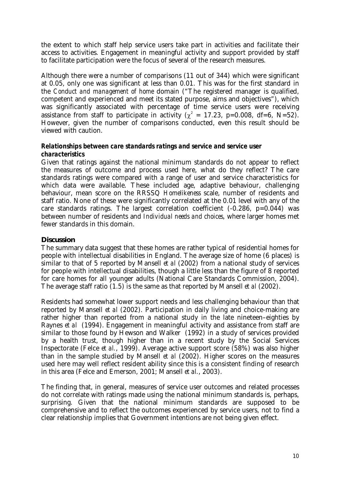the extent to which staff help service users take part in activities and facilitate their access to activities. Engagement in meaningful activity and support provided by staff to facilitate participation were the focus of several of the research measures.

Although there were a number of comparisons (11 out of 344) which were significant at 0.05, only one was significant at less than 0.01. This was for the first standard in the *Conduct and management of home* domain ("The registered manager is qualified, competent and experienced and meet its stated purpose, aims and objectives"), which was significantly associated with percentage of time service users were receiving assistance from staff to participate in activity ( $\chi^2 = 17.23$ , p=0.008, df=6, N=52). However, given the number of comparisons conducted, even this result should be viewed with caution.

# *Relationships between care standards ratings and service and service user characteristics*

Given that ratings against the national minimum standards do not appear to reflect the measures of outcome and process used here, what do they reflect? The care standards ratings were compared with a range of user and service characteristics for which data were available. These included age, adaptive behaviour, challenging behaviour, mean score on the RRSSQ *Homelikeness* scale, number of residents and staff ratio. None of these were significantly correlated at the 0.01 level with any of the care standards ratings. The largest correlation coefficient (-0.286, p=0.044) was between number of residents and *Individual needs and choices*, where larger homes met fewer standards in this domain.

# *Discussion*

The summary data suggest that these homes are rather typical of residential homes for people with intellectual disabilities in England. The average size of home (6 places) is similar to that of 5 reported by Mansell *et al* (2002) from a national study of services for people with intellectual disabilities, though a little less than the figure of 8 reported for care homes for all younger adults (National Care Standards Commission, 2004). The average staff ratio (1.5) is the same as that reported by Mansell *et al* (2002).

Residents had somewhat lower support needs and less challenging behaviour than that reported by Mansell *et al* (2002). Participation in daily living and choice-making are rather higher than reported from a national study in the late nineteen–eighties by Raynes *et al* (1994). Engagement in meaningful activity and assistance from staff are similar to those found by Hewson and Walker (1992) in a study of services provided by a health trust, though higher than in a recent study by the Social Services Inspectorate (Felce *et al.*, 1999). Average active support score (58%) was also higher than in the sample studied by Mansell *et al* (2002). Higher scores on the measures used here may well reflect resident ability since this is a consistent finding of research in this area (Felce and Emerson, 2001; Mansell *et al.*, 2003).

The finding that, in general, measures of service user outcomes and related processes do not correlate with ratings made using the national minimum standards is, perhaps, surprising. Given that the national minimum standards are supposed to be comprehensive and to reflect the outcomes experienced by service users, not to find a clear relationship implies that Government intentions are not being given effect.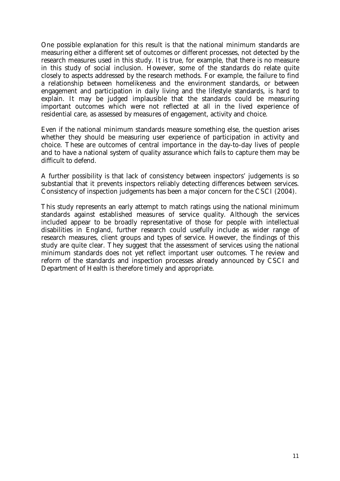One possible explanation for this result is that the national minimum standards are measuring either a different set of outcomes or different processes, not detected by the research measures used in this study. It is true, for example, that there is no measure in this study of social inclusion. However, some of the standards do relate quite closely to aspects addressed by the research methods. For example, the failure to find a relationship between homelikeness and the environment standards, or between engagement and participation in daily living and the lifestyle standards, is hard to explain. It may be judged implausible that the standards could be measuring important outcomes which were not reflected at all in the lived experience of residential care, as assessed by measures of engagement, activity and choice.

Even if the national minimum standards measure something else, the question arises whether they should be measuring user experience of participation in activity and choice. These are outcomes of central importance in the day-to-day lives of people and to have a national system of quality assurance which fails to capture them may be difficult to defend.

A further possibility is that lack of consistency between inspectors' judgements is so substantial that it prevents inspectors reliably detecting differences between services. Consistency of inspection judgements has been a major concern for the CSCI (2004).

This study represents an early attempt to match ratings using the national minimum standards against established measures of service quality. Although the services included appear to be broadly representative of those for people with intellectual disabilities in England, further research could usefully include as wider range of research measures, client groups and types of service. However, the findings of this study are quite clear. They suggest that the assessment of services using the national minimum standards does not yet reflect important user outcomes. The review and reform of the standards and inspection processes already announced by CSCI and Department of Health is therefore timely and appropriate.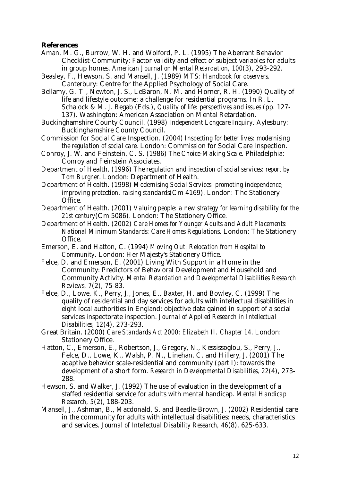#### *References*

- Aman, M. G., Burrow, W. H. and Wolford, P. L. (1995) The Aberrant Behavior Checklist-Community: Factor validity and effect of subject variables for adults in group homes. *American Journal on Mental Retardation, 100*(3), 293-292.
- Beasley, F., Hewson, S. and Mansell, J. (1989) *MTS: Handbook for observers*. Canterbury: Centre for the Applied Psychology of Social Care.

Bellamy, G. T., Newton, J. S., LeBaron, N. M. and Horner, R. H. (1990) Quality of life and lifestyle outcome: a challenge for residential programs. In R. L. Schalock & M. J. Begab (Eds.), *Quality of life: perspectives and issues* (pp. 127- 137). Washington: American Association on Mental Retardation.

- Buckinghamshire County Council. (1998) *Independent Longcare Inquiry*. Aylesbury: Buckinghamshire County Council.
- Commission for Social Care Inspection. (2004) *Inspecting for better lives: modernising the regulation of social care*. London: Commission for Social Care Inspection.
- Conroy, J. W. and Feinstein, C. S. (1986) *The Choice-Making Scale*. Philadelphia: Conroy and Feinstein Associates.
- Department of Health. (1996) *The regulation and inspection of social services: report by Tom Burgner*. London: Department of Health.
- Department of Health. (1998) *Modernising Social Services: promoting independence, improving protection, raising standards*(Cm 4169). London: The Stationery Office.
- Department of Health. (2001) *Valuing people: a new strategy for learning disability for the 21st century*(Cm 5086). London: The Stationery Office.
- Department of Health. (2002) *Care Homes for Younger Adults and Adult Placements: National Minimum Standards: Care Homes Regulations*. London: The Stationery Office.
- Emerson, E. and Hatton, C. (1994) *Moving Out: Relocation from Hospital to Community*. London: Her Majesty's Stationery Office.
- Felce, D. and Emerson, E. (2001) Living With Support in a Home in the Community: Predictors of Behavioral Development and Household and Community Activity. *Mental Retardation and Developmental Disabilities Research Reviews, 7*(2), 75-83.
- Felce, D., Lowe, K., Perry, J., Jones, E., Baxter, H. and Bowley, C. (1999) The quality of residential and day services for adults with intellectual disabilities in eight local authorities in England: objective data gained in support of a social services inspectorate inspection. *Journal of Applied Research in Intellectual Disabilities, 12*(4), 273-293.
- Great Britain. (2000) *Care Standards Act 2000: Elizabeth II. Chapter 14*. London: Stationery Office.
- Hatton, C., Emerson, E., Robertson, J., Gregory, N., Kessissoglou, S., Perry, J., Felce, D., Lowe, K., Walsh, P. N., Linehan, C. and Hillery, J. (2001) The adaptive behavior scale-residential and community (part I): towards the development of a short form. *Research in Developmental Disabilities, 22*(4), 273- 288.
- Hewson, S. and Walker, J. (1992) The use of evaluation in the development of a staffed residential service for adults with mental handicap. *Mental Handicap Research, 5*(2), 188-203.
- Mansell, J., Ashman, B., Macdonald, S. and Beadle-Brown, J. (2002) Residential care in the community for adults with intellectual disabilities: needs, characteristics and services. *Journal of Intellectual Disability Research, 46*(8), 625-633.